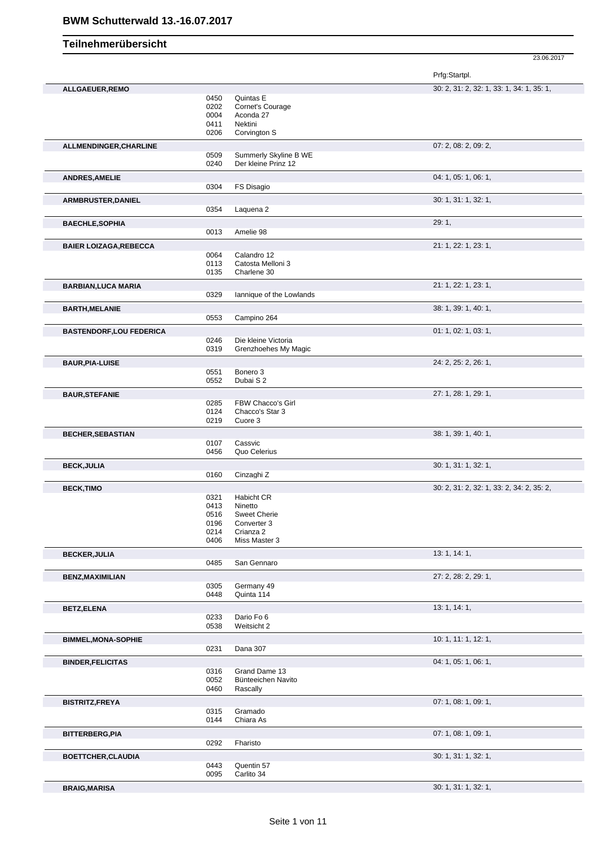| 23.06.2017 |
|------------|

|                                 |              |                                    | Prfg:Startpl.                             |
|---------------------------------|--------------|------------------------------------|-------------------------------------------|
| ALLGAEUER, REMO                 |              |                                    | 30: 2, 31: 2, 32: 1, 33: 1, 34: 1, 35: 1, |
|                                 | 0450         | Quintas E                          |                                           |
|                                 | 0202<br>0004 | Cornet's Courage<br>Aconda 27      |                                           |
|                                 | 0411         | Nektini                            |                                           |
|                                 | 0206         | Corvington S                       |                                           |
| ALLMENDINGER, CHARLINE          |              |                                    | 07: 2, 08: 2, 09: 2,                      |
|                                 | 0509         | Summerly Skyline B WE              |                                           |
|                                 | 0240         | Der kleine Prinz 12                |                                           |
| <b>ANDRES, AMELIE</b>           |              |                                    | 04: 1, 05: 1, 06: 1,                      |
|                                 | 0304         | FS Disagio                         |                                           |
| ARMBRUSTER, DANIEL              |              |                                    | 30: 1, 31: 1, 32: 1,                      |
|                                 | 0354         | Laquena <sub>2</sub>               |                                           |
| <b>BAECHLE, SOPHIA</b>          |              |                                    | 29:1,                                     |
|                                 | 0013         | Amelie 98                          |                                           |
| <b>BAIER LOIZAGA, REBECCA</b>   |              |                                    | 21: 1, 22: 1, 23: 1,                      |
|                                 | 0064         | Calandro 12                        |                                           |
|                                 | 0113         | Catosta Melloni 3                  |                                           |
|                                 | 0135         | Charlene 30                        |                                           |
| <b>BARBIAN,LUCA MARIA</b>       |              |                                    | 21: 1, 22: 1, 23: 1,                      |
|                                 | 0329         | lannique of the Lowlands           |                                           |
| <b>BARTH, MELANIE</b>           |              |                                    | 38: 1, 39: 1, 40: 1,                      |
|                                 | 0553         | Campino 264                        |                                           |
| <b>BASTENDORF, LOU FEDERICA</b> |              |                                    | 01: 1, 02: 1, 03: 1,                      |
|                                 | 0246         | Die kleine Victoria                |                                           |
|                                 | 0319         | Grenzhoehes My Magic               |                                           |
| <b>BAUR, PIA-LUISE</b>          |              |                                    | 24: 2, 25: 2, 26: 1,                      |
|                                 | 0551         | Bonero 3                           |                                           |
|                                 | 0552         | Dubai S 2                          |                                           |
| <b>BAUR, STEFANIE</b>           |              |                                    | 27: 1, 28: 1, 29: 1,                      |
|                                 | 0285         | FBW Chacco's Girl                  |                                           |
|                                 | 0124         | Chacco's Star 3                    |                                           |
|                                 | 0219         | Cuore 3                            |                                           |
| <b>BECHER, SEBASTIAN</b>        |              |                                    | 38: 1, 39: 1, 40: 1,                      |
|                                 | 0107         | Cassvic                            |                                           |
|                                 | 0456         | Quo Celerius                       |                                           |
| <b>BECK, JULIA</b>              |              |                                    | 30: 1, 31: 1, 32: 1,                      |
|                                 | 0160         | Cinzaghi Z                         |                                           |
| <b>BECK, TIMO</b>               |              |                                    | 30: 2, 31: 2, 32: 1, 33: 2, 34: 2, 35: 2, |
|                                 | 0321         | Habicht CR                         |                                           |
|                                 | 0413         | Ninetto                            |                                           |
|                                 | 0516<br>0196 | <b>Sweet Cherie</b><br>Converter 3 |                                           |
|                                 | 0214         | Crianza 2                          |                                           |
|                                 | 0406         | Miss Master 3                      |                                           |
| <b>BECKER, JULIA</b>            |              |                                    | 13:1, 14:1,                               |
|                                 | 0485         | San Gennaro                        |                                           |
| <b>BENZ, MAXIMILIAN</b>         |              |                                    | 27: 2, 28: 2, 29: 1,                      |
|                                 | 0305         | Germany 49                         |                                           |
|                                 | 0448         | Quinta 114                         |                                           |
| <b>BETZ,ELENA</b>               |              |                                    | 13:1, 14:1,                               |
|                                 | 0233         | Dario Fo 6                         |                                           |
|                                 | 0538         | Weitsicht 2                        |                                           |
| <b>BIMMEL, MONA-SOPHIE</b>      |              |                                    | 10: 1, 11: 1, 12: 1,                      |
|                                 | 0231         | Dana 307                           |                                           |
|                                 |              |                                    | 04: 1, 05: 1, 06: 1,                      |
| <b>BINDER, FELICITAS</b>        | 0316         | Grand Dame 13                      |                                           |
|                                 | 0052         | Bünteeichen Navito                 |                                           |
|                                 | 0460         | Rascally                           |                                           |
| <b>BISTRITZ,FREYA</b>           |              |                                    | 07: 1, 08: 1, 09: 1,                      |
|                                 | 0315         | Gramado                            |                                           |
|                                 | 0144         | Chiara As                          |                                           |
| <b>BITTERBERG, PIA</b>          |              |                                    | 07: 1, 08: 1, 09: 1,                      |
|                                 | 0292         | Fharisto                           |                                           |
| BOETTCHER, CLAUDIA              |              |                                    | 30: 1, 31: 1, 32: 1,                      |
|                                 | 0443         | Quentin 57                         |                                           |
|                                 | 0095         | Carlito 34                         |                                           |
| <b>BRAIG, MARISA</b>            |              |                                    | 30: 1, 31: 1, 32: 1,                      |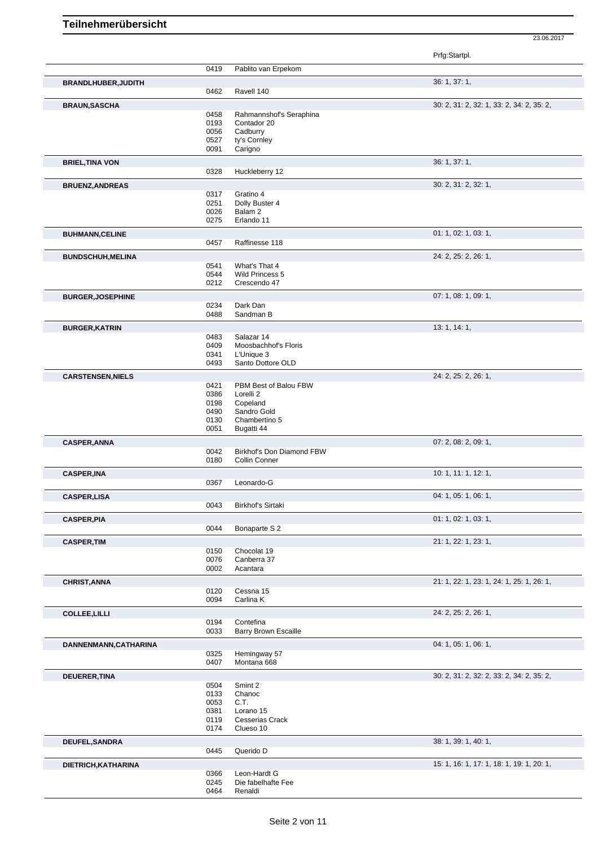Prfg:Startpl. 0419 Pablito van Erpekom **BRANDLHUBER,JUDITH** 36: 1, 37: 1, 0462 Ravell 140 **BRAUN,SASCHA** 30: 2, 31: 2, 32: 1, 33: 2, 34: 2, 35: 2, 34: 2, 35: 2, 34: 2, 35: 2, 34: 2, 35: 2, 34: 2, 35: 2, 34: 2, 35: 2, 34: 2, 35: 2, 34: 2, 35: 2, 34: 2, 35: 2, 34: 2, 35: 2, 34: 2, 35: 2, 34: 2, 35: 2, 34: 2, 35: 0458 Rahmannshof's Seraphina 0193 Contador 20 0056 Cadburry 0527 ty's Cornley<br>0091 Carigno Carigno **BRIEL,TINA VON** 36: 1, 37: 1, 0328 Huckleberry 12 **BRUENZ,ANDREAS** 30: 2, 31: 2, 32: 1, 0317 Gratino 4<br>0251 Dolly Bust 0251 Dolly Buster 4<br>0026 Balam 2 0026 Balam 2<br>0275 Erlando Erlando 11 **BUHMANN, CELINE** 01: 1, 02: 1, 03: 1, 03: 1, 03: 1, 03: 1, 03: 1, 03: 1, 03: 1, 03: 1, 03: 1, 03: 1, 03: 1, 03: 1, Raffinesse 118 **BUNDSCHUH,MELINA** 24: 2, 25: 2, 26: 1,<br>
24: 2, 25: 2, 26: 1, 0541 What's That 4<br>0544 Wild Princess 0544 Wild Princess 5<br>0212 Crescendo 47 Crescendo 47 **BURGER,JOSEPHINE** 0234 Dark Dan **Day 20234** Dark Dan **Day 20234** Dark Dan Day 20234 Day 20234 Day 20234 Day 20234 Day 20234 Day 20234 Day 20234 Day 20234 Day 20234 Day 20234 Day 20234 Day 20234 Day 20234 Day 20234 Day 202 0234 Dark Dan<br>0488 Sandman Sandman B **BURGER,KATRIN** 13: 1, 14: 1, 0483 Salazar 14<br>0409 Moosbach 0409 Moosbachhof's Floris<br>0341 L'Unique 3 0341 L'Unique 3<br>0493 Santo Dotto Santo Dottore OLD **CARSTENSEN,NIELS** 24: 2, 25: 2, 26: 1, 0421 PBM Best of Balou FBW<br>0386 Lorelli 2 Lorelli 2 0198 Copeland 0490 Sandro Gold<br>0130 Chambertino 0130 Chambertino 5<br>0051 Bugatti 44 Bugatti 44 **CASPER, ANNA** 07: 2, 08: 2, 09: 1, 09: 2, 09: 1, 09: 2, 09: 1, 09: 2, 09: 1, 09: 2, 09: 1, 09: 2, 09: 1, 09: 2, 09: 1, 0042 Birkhof's Don Diamond FBW<br>0180 Collin Conner Collin Conner **CASPER, INA** 10: 1, 11: 1, 12: 1, 13: 1, 12: 1, 13: 1, 12: 1, 12: 1, 10: 1, 11: 1, 12: 1, 1, 12: 1, 1, 12: 1, Leonardo-G **CASPER,LISA** 04: 1, 05: 1, 06: 1, 06: 1, 06: 1, 06: 1, 06: 1, 06: 1, 06: 1, 06: 1, 06: 1, 06: 1, 06: 1, 06: 1, 06: 1, 06: 1, 06: 1, 05: 1, 06: 1, 05: 1, 06: 1, 05: 1, 06: 1, 05: 1, 06: 1, 05: 1, 06: 1, 05: 1, 05: 1, 06: 1 Birkhof's Sirtaki **CASPER, PIA** 01: 1, 02: 1, 03: 1, 03: 1, 03: 1, 03: 1, 03: 1, 03: 1, 03: 1, 03: 1, 03: 1, 03: 1, 03: 1, 03: 1, 03: 1, 03: 1, 03: 1, 03: 1, 03: 1, 03: 1, 03: 1, 03: 1, 03: 1, 03: 1, 03: 1, 03: 1, 03: 1, 03: 1, 03: 1, 03: 1 Bonaparte S 2 **CASPER,TIM** 21: 1, 22: 1, 23: 1, 0150 Chocolat 19<br>0076 Canberra 37 0076 Canberra 37<br>0002 Acantara Acantara **CHRIST,ANNA** 21: 1, 22: 1, 23: 1, 24: 1, 25: 1, 26: 1, 26: 1, 26: 1, 26: 1, 26: 1, 26: 1, 26: 1, 26: 1, 26: 1, 26: 1, 26: 1, 25: 1, 25: 1, 26: 1, 25: 1, 26: 1, 25: 1, 25: 1, 26: 1, 25: 1, 25: 1, 26: 1, 25: 1, 25: 1, 25: 1 Cessna 15 0094 Carlina K **COLLEE,LILLI** 24: 2, 25: 2, 26: 1, Contefina 0033 Barry Brown Escaille **DANNENMANN,CATHARINA** 04: 1, 05: 1, 06: 1, 0325 Hemingway 57 0407 Montana 668 **DEUERER,TINA** 30: 2, 31: 2, 32: 2, 33: 2, 34: 2, 35: 2, 0504 Smint 2 0133 Chanoc<br>0053 C.T. 0053<br>0381 0381 Lorano 15<br>0119 Cesserias 0119 Cesserias Crack<br>0174 Clueso 10 Clueso 10 **DEUFEL,SANDRA** 38: 1, 39: 1, 40: 1,<br>
0445 Querido D Querido D **DIETRICH,KATHARINA** 15: 1, 16: 1, 17: 1, 18: 1, 19: 1, 20: 1,<br>0366 Leon-Hardt G 0366 Leon-Hardt G<br>0245 Die fabelhafte 0245 Die fabelhafte Fee<br>0464 Renaldi

23.06.2017

Renaldi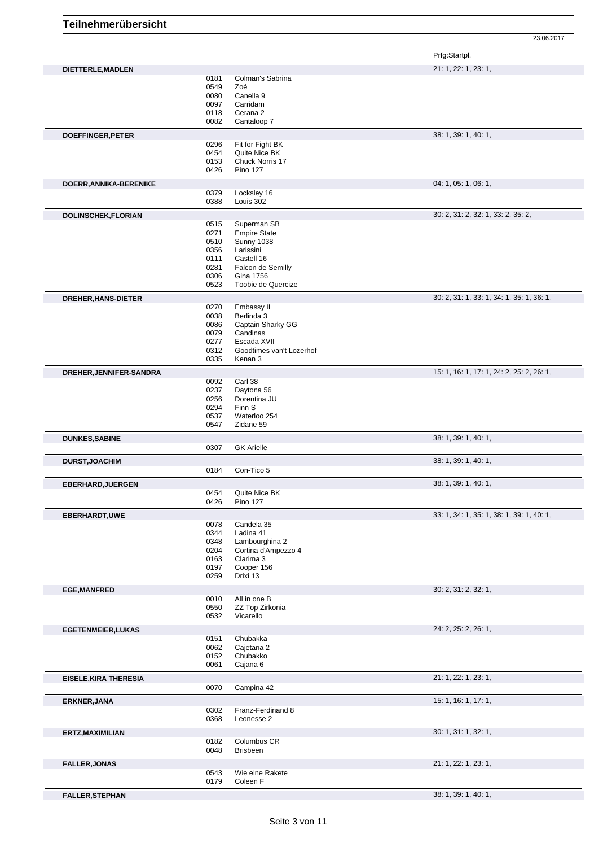|                              |              |                                          | Prfg:Startpl.                             |
|------------------------------|--------------|------------------------------------------|-------------------------------------------|
| DIETTERLE, MADLEN            |              |                                          | 21: 1, 22: 1, 23: 1,                      |
|                              | 0181         | Colman's Sabrina                         |                                           |
|                              | 0549         | Zoé                                      |                                           |
|                              | 0080<br>0097 | Canella 9<br>Carridam                    |                                           |
|                              | 0118         | Cerana 2                                 |                                           |
|                              | 0082         | Cantaloop 7                              |                                           |
| DOEFFINGER, PETER            |              |                                          | 38: 1, 39: 1, 40: 1,                      |
|                              | 0296         | Fit for Fight BK                         |                                           |
|                              | 0454         | Quite Nice BK                            |                                           |
|                              | 0153         | Chuck Norris 17                          |                                           |
|                              | 0426         | <b>Pino 127</b>                          |                                           |
| DOERR, ANNIKA-BERENIKE       |              |                                          | 04: 1, 05: 1, 06: 1,                      |
|                              | 0379         | Locksley 16                              |                                           |
|                              | 0388         | Louis 302                                |                                           |
| <b>DOLINSCHEK, FLORIAN</b>   |              |                                          | 30: 2, 31: 2, 32: 1, 33: 2, 35: 2,        |
|                              | 0515         | Superman SB                              |                                           |
|                              | 0271<br>0510 | <b>Empire State</b><br><b>Sunny 1038</b> |                                           |
|                              | 0356         | Larissini                                |                                           |
|                              | 0111         | Castell 16                               |                                           |
|                              | 0281         | Falcon de Semilly                        |                                           |
|                              | 0306         | <b>Gina 1756</b>                         |                                           |
|                              | 0523         | Toobie de Quercize                       |                                           |
| <b>DREHER, HANS-DIETER</b>   |              |                                          | 30: 2, 31: 1, 33: 1, 34: 1, 35: 1, 36: 1, |
|                              | 0270         | Embassy II                               |                                           |
|                              | 0038<br>0086 | Berlinda 3<br>Captain Sharky GG          |                                           |
|                              | 0079         | Candinas                                 |                                           |
|                              | 0277         | Escada XVII                              |                                           |
|                              | 0312         | Goodtimes van't Lozerhof                 |                                           |
|                              | 0335         | Kenan 3                                  |                                           |
| DREHER, JENNIFER-SANDRA      |              |                                          | 15: 1, 16: 1, 17: 1, 24: 2, 25: 2, 26: 1, |
|                              | 0092         | Carl 38                                  |                                           |
|                              | 0237         | Daytona 56                               |                                           |
|                              | 0256         | Dorentina JU                             |                                           |
|                              | 0294<br>0537 | Finn S<br>Waterloo 254                   |                                           |
|                              | 0547         | Zidane 59                                |                                           |
|                              |              |                                          |                                           |
|                              |              |                                          |                                           |
| <b>DUNKES, SABINE</b>        | 0307         | <b>GK Arielle</b>                        | 38: 1, 39: 1, 40: 1,                      |
|                              |              |                                          |                                           |
| <b>DURST, JOACHIM</b>        | 0184         | Con-Tico 5                               | 38: 1, 39: 1, 40: 1,                      |
|                              |              |                                          |                                           |
| <b>EBERHARD, JUERGEN</b>     |              |                                          | 38: 1, 39: 1, 40: 1,                      |
|                              | 0454<br>0426 | Quite Nice BK<br><b>Pino 127</b>         |                                           |
|                              |              |                                          |                                           |
| EBERHARDT, UWE               |              |                                          | 33: 1, 34: 1, 35: 1, 38: 1, 39: 1, 40: 1, |
|                              | 0078<br>0344 | Candela 35<br>Ladina 41                  |                                           |
|                              | 0348         | Lambourghina 2                           |                                           |
|                              | 0204         | Cortina d'Ampezzo 4                      |                                           |
|                              | 0163         | Clarima 3                                |                                           |
|                              | 0197<br>0259 | Cooper 156<br>Drixi 13                   |                                           |
|                              |              |                                          |                                           |
| <b>EGE, MANFRED</b>          |              |                                          | 30: 2, 31: 2, 32: 1,                      |
|                              | 0010         | All in one B                             |                                           |
|                              | 0550<br>0532 | ZZ Top Zirkonia<br>Vicarello             |                                           |
|                              |              |                                          |                                           |
| <b>EGETENMEIER, LUKAS</b>    | 0151         | Chubakka                                 | 24: 2, 25: 2, 26: 1,                      |
|                              | 0062         | Cajetana 2                               |                                           |
|                              | 0152         | Chubakko                                 |                                           |
|                              | 0061         | Cajana 6                                 |                                           |
| <b>EISELE, KIRA THERESIA</b> |              |                                          | 21: 1, 22: 1, 23: 1,                      |
|                              | 0070         | Campina 42                               |                                           |
|                              |              |                                          |                                           |
|                              |              |                                          | 15: 1, 16: 1, 17: 1,                      |
| <b>ERKNER, JANA</b>          | 0302<br>0368 | Franz-Ferdinand 8<br>Leonesse 2          |                                           |
|                              |              |                                          |                                           |
| ERTZ, MAXIMILIAN             |              |                                          | 30: 1, 31: 1, 32: 1,                      |
|                              | 0182<br>0048 | Columbus CR<br><b>Brisbeen</b>           |                                           |
|                              |              |                                          |                                           |
| <b>FALLER, JONAS</b>         | 0543         | Wie eine Rakete                          | 21: 1, 22: 1, 23: 1,                      |
|                              | 0179         | Coleen F                                 |                                           |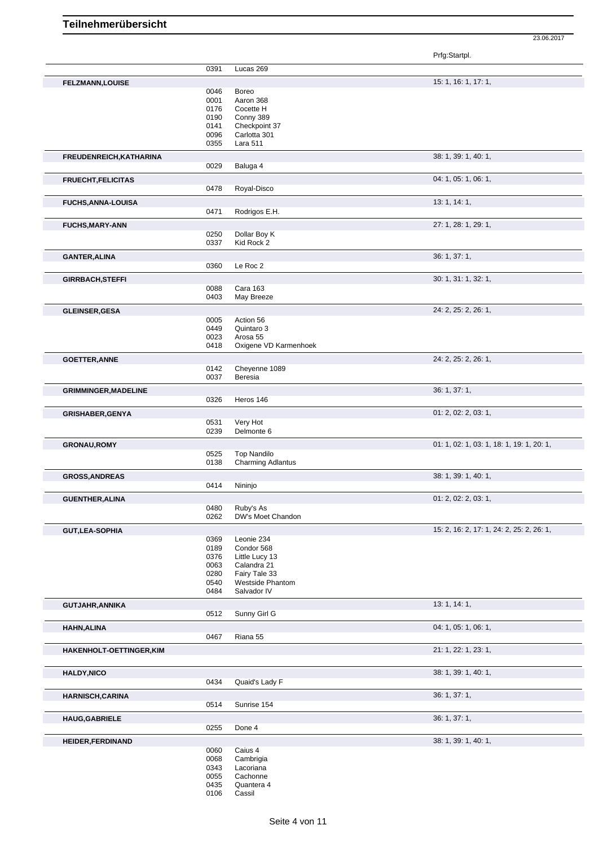Prfg:Startpl.

|                             | 0391         | Lucas 269                |                                           |
|-----------------------------|--------------|--------------------------|-------------------------------------------|
| <b>FELZMANN,LOUISE</b>      |              |                          | 15: 1, 16: 1, 17: 1,                      |
|                             | 0046         | Boreo                    |                                           |
|                             | 0001         | Aaron 368                |                                           |
|                             | 0176         | Cocette H                |                                           |
|                             | 0190         | Conny 389                |                                           |
|                             | 0141         | Checkpoint 37            |                                           |
|                             | 0096         | Carlotta 301             |                                           |
|                             | 0355         | Lara 511                 |                                           |
|                             |              |                          |                                           |
| FREUDENREICH, KATHARINA     |              |                          | 38: 1, 39: 1, 40: 1,                      |
|                             | 0029         | Baluga 4                 |                                           |
| <b>FRUECHT, FELICITAS</b>   |              |                          | 04: 1, 05: 1, 06: 1,                      |
|                             | 0478         | Royal-Disco              |                                           |
|                             |              |                          |                                           |
| <b>FUCHS, ANNA-LOUISA</b>   |              |                          | 13: 1, 14: 1,                             |
|                             | 0471         | Rodrigos E.H.            |                                           |
| <b>FUCHS, MARY-ANN</b>      |              |                          | 27: 1, 28: 1, 29: 1,                      |
|                             | 0250         | Dollar Boy K             |                                           |
|                             | 0337         | Kid Rock 2               |                                           |
|                             |              |                          |                                           |
| <b>GANTER, ALINA</b>        |              |                          | 36: 1, 37: 1,                             |
|                             | 0360         | Le Roc 2                 |                                           |
| <b>GIRRBACH, STEFFI</b>     |              |                          | 30: 1, 31: 1, 32: 1,                      |
|                             | 0088         | <b>Cara 163</b>          |                                           |
|                             | 0403         | May Breeze               |                                           |
|                             |              |                          |                                           |
| <b>GLEINSER, GESA</b>       |              |                          | 24: 2, 25: 2, 26: 1,                      |
|                             | 0005         | Action 56                |                                           |
|                             | 0449         | Quintaro 3               |                                           |
|                             | 0023         | Arosa 55                 |                                           |
|                             | 0418         | Oxigene VD Karmenhoek    |                                           |
| <b>GOETTER, ANNE</b>        |              |                          | 24: 2, 25: 2, 26: 1,                      |
|                             | 0142         | Cheyenne 1089            |                                           |
|                             | 0037         | Beresia                  |                                           |
|                             |              |                          |                                           |
| <b>GRIMMINGER, MADELINE</b> |              |                          | 36: 1, 37: 1,                             |
|                             | 0326         | Heros 146                |                                           |
| <b>GRISHABER, GENYA</b>     |              |                          | 01: 2, 02: 2, 03: 1,                      |
|                             | 0531         | Very Hot                 |                                           |
|                             | 0239         | Delmonte 6               |                                           |
|                             |              |                          |                                           |
| <b>GRONAU, ROMY</b>         |              |                          | 01: 1, 02: 1, 03: 1, 18: 1, 19: 1, 20: 1, |
|                             | 0525         | <b>Top Nandilo</b>       |                                           |
|                             | 0138         | <b>Charming Adlantus</b> |                                           |
| <b>GROSS, ANDREAS</b>       |              |                          | 38: 1, 39: 1, 40: 1,                      |
|                             | 0414         | Nininjo                  |                                           |
|                             |              |                          |                                           |
| <b>GUENTHER, ALINA</b>      |              |                          | 01: 2, 02: 2, 03: 1,                      |
|                             | 0480         | Ruby's As                |                                           |
|                             | 0262         | DW's Moet Chandon        |                                           |
| <b>GUT, LEA-SOPHIA</b>      |              |                          | 15: 2, 16: 2, 17: 1, 24: 2, 25: 2, 26: 1, |
|                             | 0369         | Leonie 234               |                                           |
|                             | 0189         | Condor 568               |                                           |
|                             | 0376         | Little Lucy 13           |                                           |
|                             | 0063         | Calandra 21              |                                           |
|                             | 0280         | Fairy Tale 33            |                                           |
|                             | 0540         | <b>Westside Phantom</b>  |                                           |
|                             | 0484         | Salvador IV              |                                           |
| <b>GUTJAHR, ANNIKA</b>      |              |                          | 13: 1, 14: 1,                             |
|                             | 0512         | Sunny Girl G             |                                           |
|                             |              |                          |                                           |
| <b>HAHN, ALINA</b>          |              |                          | 04: 1, 05: 1, 06: 1,                      |
|                             | 0467         | Riana 55                 |                                           |
| HAKENHOLT-OETTINGER, KIM    |              |                          | 21: 1, 22: 1, 23: 1,                      |
|                             |              |                          |                                           |
|                             |              |                          |                                           |
| <b>HALDY, NICO</b>          |              |                          | 38: 1, 39: 1, 40: 1,                      |
|                             | 0434         | Quaid's Lady F           |                                           |
| <b>HARNISCH, CARINA</b>     |              |                          | 36: 1, 37: 1,                             |
|                             | 0514         | Sunrise 154              |                                           |
|                             |              |                          |                                           |
| <b>HAUG, GABRIELE</b>       |              |                          | 36: 1, 37: 1,                             |
|                             | 0255         | Done 4                   |                                           |
|                             |              |                          | 38: 1, 39: 1, 40: 1,                      |
| <b>HEIDER,FERDINAND</b>     |              |                          |                                           |
|                             | 0060         | Caius 4                  |                                           |
|                             | 0068         | Cambrigia                |                                           |
|                             | 0343         | Lacoriana                |                                           |
|                             | 0055         | Cachonne                 |                                           |
|                             | 0435<br>0106 | Quantera 4               |                                           |
|                             |              | Cassil                   |                                           |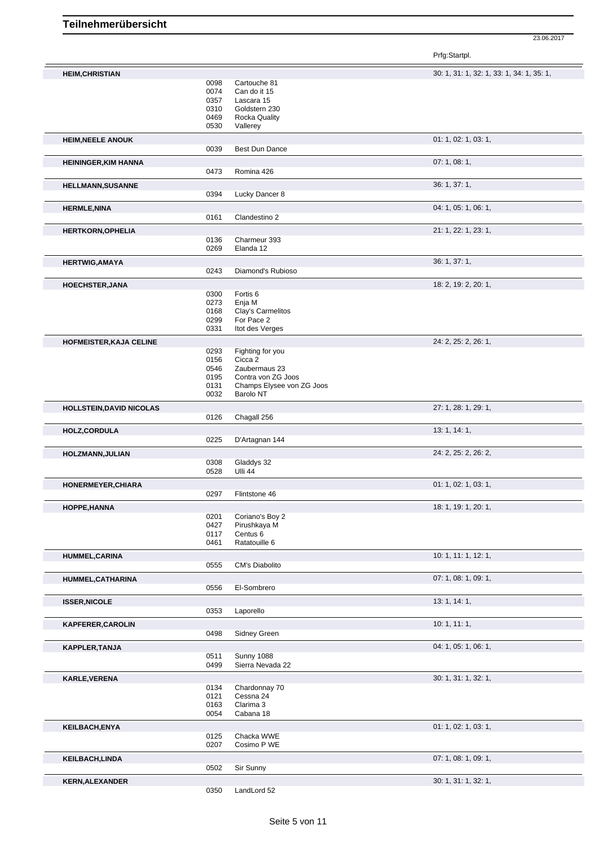Prfg:Startpl.

| <b>HEIM, CHRISTIAN</b>          |      |                           | 30: 1, 31: 1, 32: 1, 33: 1, 34: 1, 35: 1, |
|---------------------------------|------|---------------------------|-------------------------------------------|
|                                 | 0098 | Cartouche 81              |                                           |
|                                 | 0074 | Can do it 15              |                                           |
|                                 |      |                           |                                           |
|                                 | 0357 | Lascara 15                |                                           |
|                                 | 0310 | Goldstern 230             |                                           |
|                                 | 0469 | <b>Rocka Quality</b>      |                                           |
|                                 | 0530 | Vallerey                  |                                           |
| <b>HEIM, NEELE ANOUK</b>        |      |                           | 01: 1, 02: 1, 03: 1,                      |
|                                 | 0039 | Best Dun Dance            |                                           |
|                                 |      |                           |                                           |
| <b>HEININGER, KIM HANNA</b>     |      |                           | 07: 1, 08: 1,                             |
|                                 | 0473 | Romina 426                |                                           |
| <b>HELLMANN, SUSANNE</b>        |      |                           | 36: 1, 37: 1,                             |
|                                 | 0394 | Lucky Dancer 8            |                                           |
|                                 |      |                           |                                           |
| <b>HERMLE, NINA</b>             |      |                           | 04: 1, 05: 1, 06: 1,                      |
|                                 | 0161 | Clandestino 2             |                                           |
| <b>HERTKORN, OPHELIA</b>        |      |                           | 21: 1, 22: 1, 23: 1,                      |
|                                 | 0136 | Charmeur 393              |                                           |
|                                 | 0269 | Elanda 12                 |                                           |
|                                 |      |                           |                                           |
| <b>HERTWIG, AMAYA</b>           |      |                           | 36: 1, 37: 1,                             |
|                                 | 0243 | Diamond's Rubioso         |                                           |
| HOECHSTER, JANA                 |      |                           | 18: 2, 19: 2, 20: 1,                      |
|                                 | 0300 | Fortis <sub>6</sub>       |                                           |
|                                 | 0273 | Enja M                    |                                           |
|                                 | 0168 | Clay's Carmelitos         |                                           |
|                                 | 0299 | For Pace 2                |                                           |
|                                 | 0331 | Itot des Verges           |                                           |
|                                 |      |                           |                                           |
| <b>HOFMEISTER, KAJA CELINE</b>  |      |                           | 24: 2, 25: 2, 26: 1,                      |
|                                 | 0293 | Fighting for you          |                                           |
|                                 | 0156 | Cicca 2                   |                                           |
|                                 | 0546 | Zaubermaus 23             |                                           |
|                                 | 0195 | Contra von ZG Joos        |                                           |
|                                 | 0131 | Champs Elysee von ZG Joos |                                           |
|                                 | 0032 | Barolo NT                 |                                           |
| <b>HOLLSTEIN, DAVID NICOLAS</b> |      |                           | 27: 1, 28: 1, 29: 1,                      |
|                                 | 0126 | Chagall 256               |                                           |
|                                 |      |                           |                                           |
| <b>HOLZ,CORDULA</b>             |      |                           | 13: 1, 14: 1,                             |
|                                 | 0225 | D'Artagnan 144            |                                           |
| <b>HOLZMANN, JULIAN</b>         |      |                           | 24: 2, 25: 2, 26: 2,                      |
|                                 | 0308 | Gladdys 32                |                                           |
|                                 | 0528 | <b>Ulli 44</b>            |                                           |
|                                 |      |                           |                                           |
| HONERMEYER, CHIARA              |      |                           | 01: 1, 02: 1, 03: 1,                      |
|                                 | 0297 | Flintstone 46             |                                           |
|                                 |      |                           |                                           |
|                                 |      |                           |                                           |
| HOPPE, HANNA                    |      |                           | 18: 1, 19: 1, 20: 1,                      |
|                                 | 0201 | Coriano's Boy 2           |                                           |
|                                 | 0427 | Pirushkaya M              |                                           |
|                                 | 0117 | Centus <sub>6</sub>       |                                           |
|                                 | 0461 | Ratatouille 6             |                                           |
| <b>HUMMEL,CARINA</b>            |      |                           | 10: 1, 11: 1, 12: 1,                      |
|                                 | 0555 | CM's Diabolito            |                                           |
|                                 |      |                           |                                           |
| HUMMEL, CATHARINA               |      |                           | 07: 1, 08: 1, 09: 1,                      |
|                                 | 0556 | El-Sombrero               |                                           |
| <b>ISSER, NICOLE</b>            |      |                           | 13: 1, 14: 1,                             |
|                                 | 0353 | Laporello                 |                                           |
|                                 |      |                           |                                           |
| <b>KAPFERER, CAROLIN</b>        |      |                           | 10: 1, 11: 1,                             |
|                                 | 0498 | Sidney Green              |                                           |
| <b>KAPPLER, TANJA</b>           |      |                           | 04: 1, 05: 1, 06: 1,                      |
|                                 | 0511 | <b>Sunny 1088</b>         |                                           |
|                                 | 0499 | Sierra Nevada 22          |                                           |
|                                 |      |                           |                                           |
| <b>KARLE, VERENA</b>            |      |                           | 30: 1, 31: 1, 32: 1,                      |
|                                 | 0134 | Chardonnay 70             |                                           |
|                                 | 0121 | Cessna 24                 |                                           |
|                                 | 0163 | Clarima 3                 |                                           |
|                                 | 0054 | Cabana 18                 |                                           |
| KEILBACH, ENYA                  |      |                           | 01: 1, 02: 1, 03: 1,                      |
|                                 | 0125 | Chacka WWE                |                                           |
|                                 | 0207 | Cosimo P WE               |                                           |
|                                 |      |                           |                                           |
| <b>KEILBACH,LINDA</b>           |      |                           | 07: 1, 08: 1, 09: 1,                      |
|                                 | 0502 | Sir Sunny                 |                                           |
| <b>KERN, ALEXANDER</b>          |      |                           | 30: 1, 31: 1, 32: 1,                      |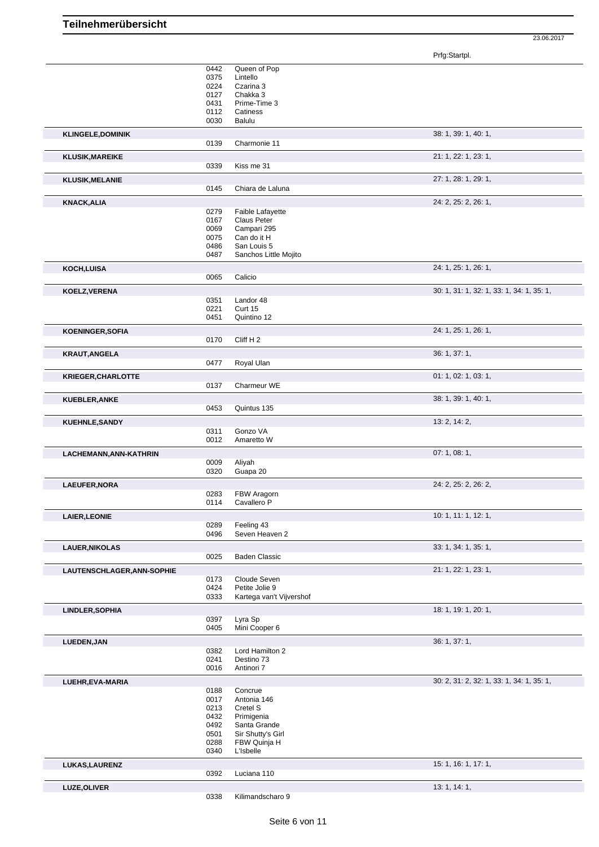Prfg:Startpl.

|                            | 0442         | Queen of Pop                           |                                           |
|----------------------------|--------------|----------------------------------------|-------------------------------------------|
|                            | 0375         | Lintello                               |                                           |
|                            | 0224         | Czarina 3                              |                                           |
|                            | 0127         | Chakka 3                               |                                           |
|                            | 0431         | Prime-Time 3                           |                                           |
|                            | 0112         | Catiness                               |                                           |
|                            | 0030         | Balulu                                 |                                           |
| <b>KLINGELE, DOMINIK</b>   |              |                                        | 38: 1, 39: 1, 40: 1,                      |
|                            | 0139         | Charmonie 11                           |                                           |
| <b>KLUSIK, MAREIKE</b>     |              |                                        | 21: 1, 22: 1, 23: 1,                      |
|                            | 0339         | Kiss me 31                             |                                           |
| <b>KLUSIK, MELANIE</b>     |              |                                        | 27: 1, 28: 1, 29: 1,                      |
|                            | 0145         | Chiara de Laluna                       |                                           |
|                            |              |                                        |                                           |
| <b>KNACK, ALIA</b>         | 0279         |                                        | 24: 2, 25: 2, 26: 1,                      |
|                            | 0167         | Faible Lafayette<br><b>Claus Peter</b> |                                           |
|                            | 0069         | Campari 295                            |                                           |
|                            | 0075         | Can do it H                            |                                           |
|                            | 0486         | San Louis 5                            |                                           |
|                            | 0487         | Sanchos Little Mojito                  |                                           |
| <b>KOCH,LUISA</b>          |              |                                        | 24: 1, 25: 1, 26: 1,                      |
|                            | 0065         | Calicio                                |                                           |
|                            |              |                                        | 30: 1, 31: 1, 32: 1, 33: 1, 34: 1, 35: 1, |
| KOELZ, VERENA              | 0351         | Landor 48                              |                                           |
|                            | 0221         | Curt 15                                |                                           |
|                            | 0451         | Quintino 12                            |                                           |
|                            |              |                                        | 24: 1, 25: 1, 26: 1,                      |
| <b>KOENINGER, SOFIA</b>    | 0170         | Cliff H 2                              |                                           |
|                            |              |                                        |                                           |
| <b>KRAUT, ANGELA</b>       |              |                                        | 36: 1, 37: 1,                             |
|                            | 0477         | Royal Ulan                             |                                           |
| <b>KRIEGER, CHARLOTTE</b>  |              |                                        | 01: 1, 02: 1, 03: 1,                      |
|                            | 0137         | Charmeur WE                            |                                           |
| KUEBLER, ANKE              |              |                                        | 38: 1, 39: 1, 40: 1,                      |
|                            | 0453         | Quintus 135                            |                                           |
| <b>KUEHNLE, SANDY</b>      |              |                                        | 13: 2, 14: 2,                             |
|                            | 0311         | Gonzo VA                               |                                           |
|                            | 0012         | Amaretto W                             |                                           |
|                            |              |                                        | 07:1,08:1,                                |
| LACHEMANN, ANN-KATHRIN     | 0009         | Aliyah                                 |                                           |
|                            | 0320         | Guapa 20                               |                                           |
|                            |              |                                        |                                           |
| LAEUFER, NORA              | 0283         | FBW Aragorn                            | 24: 2, 25: 2, 26: 2,                      |
|                            | 0114         | Cavallero P                            |                                           |
|                            |              |                                        |                                           |
| LAIER, LEONIE              |              | Feeling 43                             | 10: 1, 11: 1, 12: 1,                      |
|                            | 0289<br>0496 | Seven Heaven 2                         |                                           |
|                            |              |                                        |                                           |
| <b>LAUER, NIKOLAS</b>      |              | <b>Baden Classic</b>                   | 33: 1, 34: 1, 35: 1,                      |
|                            | 0025         |                                        |                                           |
| LAUTENSCHLAGER, ANN-SOPHIE |              |                                        | 21: 1, 22: 1, 23: 1,                      |
|                            | 0173         | Cloude Seven                           |                                           |
|                            | 0424         | Petite Jolie 9                         |                                           |
|                            | 0333         | Kartega van't Vijvershof               |                                           |
| <b>LINDLER, SOPHIA</b>     |              |                                        | 18: 1, 19: 1, 20: 1,                      |
|                            | 0397         | Lyra Sp                                |                                           |
|                            | 0405         | Mini Cooper 6                          |                                           |
| <b>LUEDEN, JAN</b>         |              |                                        | 36: 1, 37: 1,                             |
|                            | 0382         | Lord Hamilton 2                        |                                           |
|                            | 0241         | Destino 73                             |                                           |
|                            | 0016         | Antinori 7                             |                                           |
| LUEHR, EVA-MARIA           |              |                                        | 30: 2, 31: 2, 32: 1, 33: 1, 34: 1, 35: 1, |
|                            | 0188         | Concrue                                |                                           |
|                            | 0017         | Antonia 146                            |                                           |
|                            | 0213         | Cretel S                               |                                           |
|                            | 0432<br>0492 | Primigenia<br>Santa Grande             |                                           |
|                            | 0501         | Sir Shutty's Girl                      |                                           |
|                            | 0288         | FBW Quinja H                           |                                           |
|                            | 0340         | <b>L'Isbelle</b>                       |                                           |
|                            |              |                                        | 15: 1, 16: 1, 17: 1,                      |
| LUKAS, LAURENZ             | 0392         | Luciana 110                            |                                           |
|                            |              |                                        |                                           |
| LUZE, OLIVER               |              |                                        | 13: 1, 14: 1,                             |
|                            | 0338         | Kilimandscharo 9                       |                                           |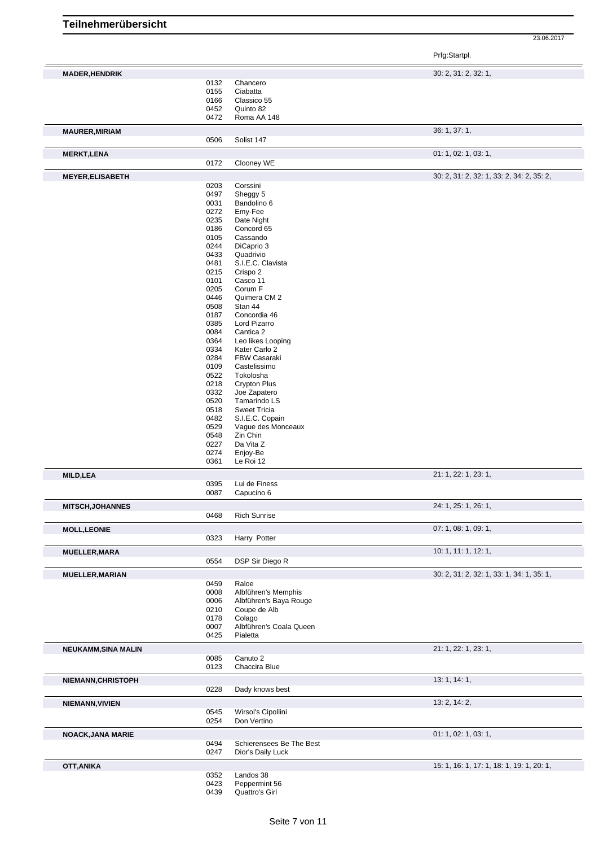|                            |              |                                     | Prfg:Startpl.                             |
|----------------------------|--------------|-------------------------------------|-------------------------------------------|
| <b>MADER, HENDRIK</b>      |              |                                     | 30: 2, 31: 2, 32: 1,                      |
|                            | 0132         | Chancero                            |                                           |
|                            | 0155         | Ciabatta                            |                                           |
|                            | 0166         | Classico 55                         |                                           |
|                            | 0452         | Quinto 82                           |                                           |
|                            | 0472         | Roma AA 148                         |                                           |
| <b>MAURER, MIRIAM</b>      | 0506         | Solist 147                          | 36: 1, 37: 1,                             |
|                            |              |                                     | 01: 1, 02: 1, 03: 1,                      |
| <b>MERKT, LENA</b>         | 0172         | Clooney WE                          |                                           |
| <b>MEYER, ELISABETH</b>    |              |                                     | 30: 2, 31: 2, 32: 1, 33: 2, 34: 2, 35: 2, |
|                            | 0203         | Corssini                            |                                           |
|                            | 0497         | Sheggy 5                            |                                           |
|                            | 0031         | Bandolino 6                         |                                           |
|                            | 0272         | Emy-Fee                             |                                           |
|                            | 0235<br>0186 | Date Night<br>Concord 65            |                                           |
|                            | 0105         | Cassando                            |                                           |
|                            | 0244         | DiCaprio 3                          |                                           |
|                            | 0433         | Quadrivio                           |                                           |
|                            | 0481         | S.I.E.C. Clavista                   |                                           |
|                            | 0215         | Crispo 2                            |                                           |
|                            | 0101<br>0205 | Casco 11<br>Corum F                 |                                           |
|                            | 0446         | Quimera CM 2                        |                                           |
|                            | 0508         | Stan 44                             |                                           |
|                            | 0187         | Concordia 46                        |                                           |
|                            | 0385         | Lord Pizarro                        |                                           |
|                            | 0084         | Cantica 2                           |                                           |
|                            | 0364<br>0334 | Leo likes Looping<br>Kater Carlo 2  |                                           |
|                            | 0284         | FBW Casaraki                        |                                           |
|                            | 0109         | Castelissimo                        |                                           |
|                            | 0522         | Tokolosha                           |                                           |
|                            | 0218         | Crypton Plus                        |                                           |
|                            | 0332         | Joe Zapatero                        |                                           |
|                            | 0520<br>0518 | Tamarindo LS<br><b>Sweet Tricia</b> |                                           |
|                            | 0482         | S.I.E.C. Copain                     |                                           |
|                            | 0529         | Vague des Monceaux                  |                                           |
|                            | 0548         | Zin Chin                            |                                           |
|                            | 0227         | Da Vita Z                           |                                           |
|                            | 0274         | Enjoy-Be<br>Le Roi 12               |                                           |
|                            | 0361         |                                     |                                           |
| <b>MILD, LEA</b>           | 0395         | Lui de Finess                       | 21: 1, 22: 1, 23: 1,                      |
|                            | 0087         | Capucino 6                          |                                           |
| <b>MITSCH, JOHANNES</b>    |              |                                     | 24: 1, 25: 1, 26: 1,                      |
|                            | 0468         | <b>Rich Sunrise</b>                 |                                           |
| <b>MOLL, LEONIE</b>        |              |                                     | 07: 1, 08: 1, 09: 1,                      |
|                            | 0323         | Harry Potter                        |                                           |
| <b>MUELLER, MARA</b>       | 0554         | DSP Sir Diego R                     | 10: 1, 11: 1, 12: 1,                      |
|                            |              |                                     |                                           |
| <b>MUELLER, MARIAN</b>     | 0459         | Raloe                               | 30: 2, 31: 2, 32: 1, 33: 1, 34: 1, 35: 1, |
|                            | 0008         | Albführen's Memphis                 |                                           |
|                            | 0006         | Albführen's Baya Rouge              |                                           |
|                            | 0210         | Coupe de Alb                        |                                           |
|                            | 0178         | Colago                              |                                           |
|                            | 0007         | Albführen's Coala Queen             |                                           |
|                            | 0425         | Pialetta                            |                                           |
| <b>NEUKAMM, SINA MALIN</b> |              |                                     | 21: 1, 22: 1, 23: 1,                      |
|                            | 0085<br>0123 | Canuto 2<br>Chaccira Blue           |                                           |
| NIEMANN, CHRISTOPH         |              |                                     | 13: 1, 14: 1,                             |
|                            | 0228         | Dady knows best                     |                                           |
| NIEMANN, VIVIEN            |              |                                     | 13: 2, 14: 2,                             |
|                            | 0545         | Wirsol's Cipollini                  |                                           |
|                            | 0254         | Don Vertino                         |                                           |
| <b>NOACK, JANA MARIE</b>   | 0494         | Schierensees Be The Best            | 01: 1, 02: 1, 03: 1,                      |
|                            | 0247         | Dior's Daily Luck                   |                                           |
| OTT, ANIKA                 |              |                                     | 15: 1, 16: 1, 17: 1, 18: 1, 19: 1, 20: 1, |
|                            | 0352         | Landos 38                           |                                           |
|                            | 0423         | Peppermint 56                       |                                           |
|                            | 0439         | Quattro's Girl                      |                                           |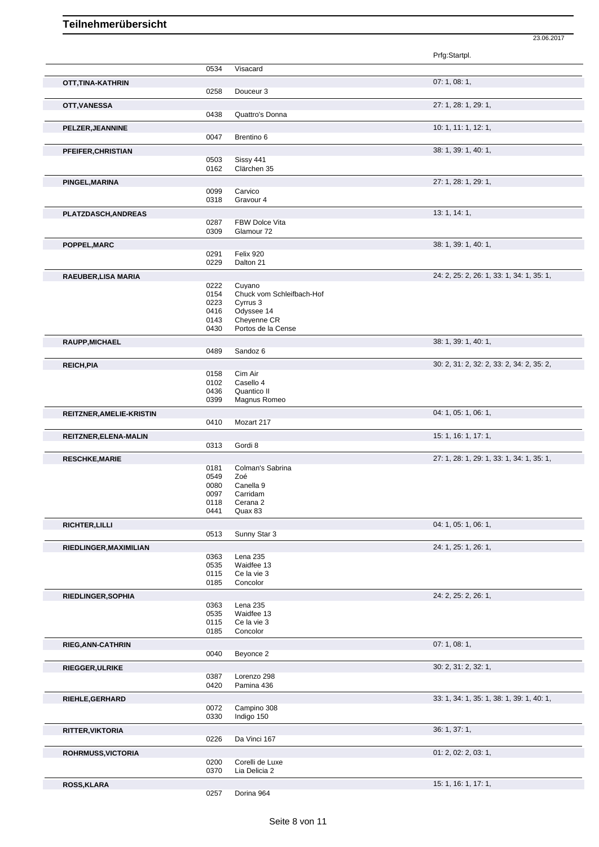|                                 |              |                                     | Prfg:Startpl.                             |
|---------------------------------|--------------|-------------------------------------|-------------------------------------------|
|                                 | 0534         | Visacard                            |                                           |
| OTT, TINA-KATHRIN               |              |                                     | 07:1,08:1,                                |
|                                 | 0258         | Douceur 3                           |                                           |
| OTT, VANESSA                    |              |                                     | 27: 1, 28: 1, 29: 1,                      |
|                                 | 0438         | Quattro's Donna                     |                                           |
| PELZER, JEANNINE                |              |                                     | 10: 1, 11: 1, 12: 1,                      |
|                                 | 0047         | Brentino 6                          |                                           |
| PFEIFER, CHRISTIAN              |              |                                     | 38: 1, 39: 1, 40: 1,                      |
|                                 | 0503         | Sissy 441                           |                                           |
|                                 | 0162         | Clärchen 35                         |                                           |
| PINGEL, MARINA                  |              | Carvico                             | 27: 1, 28: 1, 29: 1,                      |
|                                 | 0099<br>0318 | Gravour 4                           |                                           |
| PLATZDASCH, ANDREAS             |              |                                     | 13: 1, 14: 1,                             |
|                                 | 0287         | FBW Dolce Vita                      |                                           |
|                                 | 0309         | Glamour 72                          |                                           |
| POPPEL, MARC                    |              |                                     | 38: 1, 39: 1, 40: 1,                      |
|                                 | 0291         | Felix 920                           |                                           |
|                                 | 0229         | Dalton 21                           |                                           |
| RAEUBER, LISA MARIA             |              |                                     | 24: 2, 25: 2, 26: 1, 33: 1, 34: 1, 35: 1, |
|                                 | 0222<br>0154 | Cuyano<br>Chuck vom Schleifbach-Hof |                                           |
|                                 | 0223         | Cyrrus 3                            |                                           |
|                                 | 0416         | Odyssee 14                          |                                           |
|                                 | 0143<br>0430 | Cheyenne CR<br>Portos de la Cense   |                                           |
|                                 |              |                                     |                                           |
| RAUPP, MICHAEL                  | 0489         | Sandoz 6                            | 38: 1, 39: 1, 40: 1,                      |
|                                 |              |                                     |                                           |
| <b>REICH, PIA</b>               | 0158         | Cim Air                             | 30: 2, 31: 2, 32: 2, 33: 2, 34: 2, 35: 2, |
|                                 | 0102         | Casello 4                           |                                           |
|                                 | 0436         | Quantico II                         |                                           |
|                                 | 0399         | Magnus Romeo                        |                                           |
| <b>REITZNER, AMELIE-KRISTIN</b> |              |                                     | 04: 1, 05: 1, 06: 1,                      |
|                                 | 0410         | Mozart 217                          |                                           |
| REITZNER, ELENA-MALIN           |              |                                     | 15: 1, 16: 1, 17: 1,                      |
|                                 | 0313         | Gordi 8                             |                                           |
| <b>RESCHKE, MARIE</b>           |              |                                     | 27: 1, 28: 1, 29: 1, 33: 1, 34: 1, 35: 1, |
|                                 | 0181<br>0549 | Colman's Sabrina<br>Zoé             |                                           |
|                                 | 0080         | Canella 9                           |                                           |
|                                 | 0097         | Carridam                            |                                           |
|                                 | 0118<br>0441 | Cerana 2<br>Quax 83                 |                                           |
|                                 |              |                                     | 04: 1, 05: 1, 06: 1,                      |
| <b>RICHTER, LILLI</b>           | 0513         | Sunny Star 3                        |                                           |
|                                 |              |                                     | 24: 1, 25: 1, 26: 1,                      |
| RIEDLINGER, MAXIMILIAN          | 0363         | Lena 235                            |                                           |
|                                 | 0535         | Waidfee 13                          |                                           |
|                                 | 0115<br>0185 | Ce la vie 3<br>Concolor             |                                           |
|                                 |              |                                     |                                           |
| RIEDLINGER, SOPHIA              | 0363         | Lena 235                            | 24: 2, 25: 2, 26: 1,                      |
|                                 | 0535         | Waidfee 13                          |                                           |
|                                 | 0115         | Ce la vie 3                         |                                           |
|                                 | 0185         | Concolor                            |                                           |
| <b>RIEG, ANN-CATHRIN</b>        |              |                                     | 07:1,08:1,                                |
|                                 | 0040         | Beyonce 2                           |                                           |
| <b>RIEGGER, ULRIKE</b>          |              |                                     | 30: 2, 31: 2, 32: 1,                      |
|                                 | 0387<br>0420 | Lorenzo 298<br>Pamina 436           |                                           |
|                                 |              |                                     |                                           |
| RIEHLE, GERHARD                 | 0072         | Campino 308                         | 33: 1, 34: 1, 35: 1, 38: 1, 39: 1, 40: 1, |
|                                 | 0330         | Indigo 150                          |                                           |
| RITTER, VIKTORIA                |              |                                     | 36: 1, 37: 1,                             |
|                                 | 0226         | Da Vinci 167                        |                                           |
| ROHRMUSS, VICTORIA              |              |                                     | 01: 2, 02: 2, 03: 1,                      |
|                                 | 0200         | Corelli de Luxe                     |                                           |
|                                 | 0370         | Lia Delicia 2                       |                                           |
| <b>ROSS,KLARA</b>               |              |                                     | 15: 1, 16: 1, 17: 1,                      |
|                                 | 0257         | Dorina 964                          |                                           |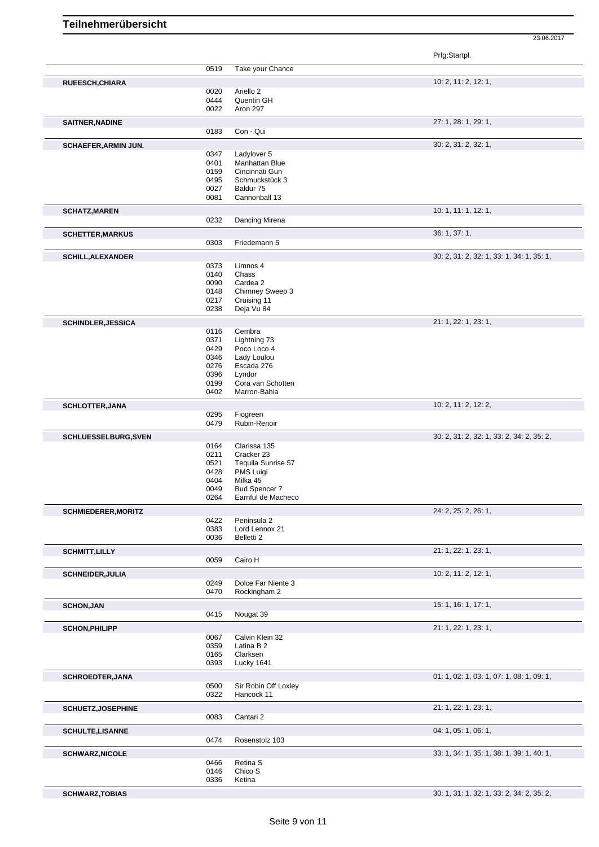|                             |              |                                     | Prfg:Startpl.                             |
|-----------------------------|--------------|-------------------------------------|-------------------------------------------|
|                             | 0519         | Take your Chance                    |                                           |
| RUEESCH, CHIARA             |              |                                     | 10: 2, 11: 2, 12: 1,                      |
|                             | 0020         | Ariello <sub>2</sub>                |                                           |
|                             | 0444         | Quentin GH                          |                                           |
|                             | 0022         | Aron 297                            |                                           |
| <b>SAITNER, NADINE</b>      |              |                                     | 27: 1, 28: 1, 29: 1,                      |
|                             | 0183         | Con - Qui                           |                                           |
| <b>SCHAEFER, ARMIN JUN.</b> |              |                                     | 30: 2, 31: 2, 32: 1,                      |
|                             | 0347<br>0401 | Ladylover 5<br>Manhattan Blue       |                                           |
|                             | 0159         | Cincinnati Gun                      |                                           |
|                             | 0495         | Schmuckstück 3                      |                                           |
|                             | 0027         | Baldur 75                           |                                           |
|                             | 0081         | Cannonball 13                       |                                           |
| <b>SCHATZ, MAREN</b>        |              |                                     | 10: 1, 11: 1, 12: 1,                      |
|                             | 0232         | Dancing Mirena                      |                                           |
| <b>SCHETTER, MARKUS</b>     |              |                                     | 36: 1, 37: 1,                             |
|                             | 0303         | Friedemann 5                        |                                           |
| <b>SCHILL, ALEXANDER</b>    |              |                                     | 30: 2, 31: 2, 32: 1, 33: 1, 34: 1, 35: 1, |
|                             | 0373         | Limnos 4                            |                                           |
|                             | 0140         | Chass                               |                                           |
|                             | 0090<br>0148 | Cardea 2<br>Chimney Sweep 3         |                                           |
|                             | 0217         | Cruising 11                         |                                           |
|                             | 0238         | Deja Vu 84                          |                                           |
| <b>SCHINDLER, JESSICA</b>   |              |                                     | 21: 1, 22: 1, 23: 1,                      |
|                             | 0116         | Cembra                              |                                           |
|                             | 0371         | Lightning 73                        |                                           |
|                             | 0429<br>0346 | Poco Loco 4                         |                                           |
|                             | 0276         | Lady Loulou<br>Escada 276           |                                           |
|                             | 0396         | Lyndor                              |                                           |
|                             | 0199         | Cora van Schotten                   |                                           |
|                             | 0402         | Marron-Bahia                        |                                           |
| <b>SCHLOTTER, JANA</b>      |              |                                     | 10: 2, 11: 2, 12: 2,                      |
|                             | 0295         | Fiogreen                            |                                           |
|                             | 0479         | Rubin-Renoir                        |                                           |
| <b>SCHLUESSELBURG, SVEN</b> |              |                                     | 30: 2, 31: 2, 32: 1, 33: 2, 34: 2, 35: 2, |
|                             | 0164<br>0211 | Clarissa 135<br>Cracker 23          |                                           |
|                             | 0521         | Tequila Sunrise 57                  |                                           |
|                             | 0428         | PMS Luigi                           |                                           |
|                             | 0404         | Milka 45                            |                                           |
|                             | 0049<br>0264 | Bud Spencer 7<br>Earnful de Macheco |                                           |
|                             |              |                                     |                                           |
| <b>SCHMIEDERER, MORITZ</b>  | 0422         | Peninsula 2                         | 24: 2, 25: 2, 26: 1,                      |
|                             | 0383         | Lord Lennox 21                      |                                           |
|                             | 0036         | Belletti 2                          |                                           |
| <b>SCHMITT, LILLY</b>       |              |                                     | 21: 1, 22: 1, 23: 1,                      |
|                             | 0059         | Cairo H                             |                                           |
| <b>SCHNEIDER, JULIA</b>     |              |                                     | 10: 2, 11: 2, 12: 1,                      |
|                             | 0249         | Dolce Far Niente 3                  |                                           |
|                             | 0470         | Rockingham 2                        |                                           |
| <b>SCHON, JAN</b>           |              |                                     | 15: 1, 16: 1, 17: 1,                      |
|                             | 0415         | Nougat 39                           |                                           |
| <b>SCHON, PHILIPP</b>       |              |                                     | 21: 1, 22: 1, 23: 1,                      |
|                             | 0067         | Calvin Klein 32                     |                                           |
|                             | 0359         | Latina B 2                          |                                           |
|                             | 0165<br>0393 | Clarksen<br>Lucky 1641              |                                           |
|                             |              |                                     |                                           |
| SCHROEDTER, JANA            | 0500         | Sir Robin Off Loxley                | 01: 1, 02: 1, 03: 1, 07: 1, 08: 1, 09: 1, |
|                             | 0322         | Hancock 11                          |                                           |
| <b>SCHUETZ, JOSEPHINE</b>   |              |                                     | 21: 1, 22: 1, 23: 1,                      |
|                             | 0083         | Cantari 2                           |                                           |
|                             |              |                                     | 04: 1, 05: 1, 06: 1,                      |
| <b>SCHULTE, LISANNE</b>     | 0474         | Rosenstolz 103                      |                                           |
|                             |              |                                     |                                           |
| <b>SCHWARZ, NICOLE</b>      | 0466         | Retina S                            | 33: 1, 34: 1, 35: 1, 38: 1, 39: 1, 40: 1, |
|                             | 0146         | Chico S                             |                                           |
|                             | 0336         | Ketina                              |                                           |
| <b>SCHWARZ, TOBIAS</b>      |              |                                     | 30: 1, 31: 1, 32: 1, 33: 2, 34: 2, 35: 2, |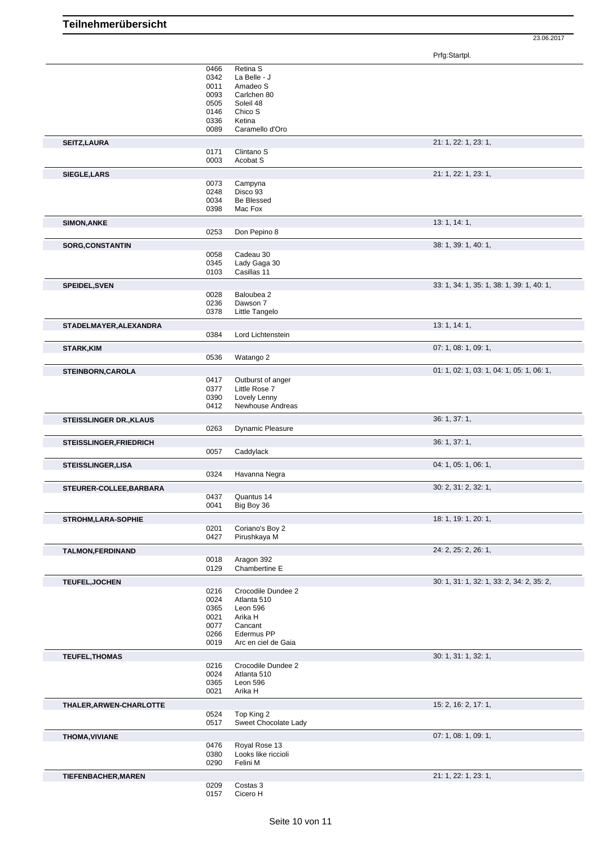Prfg:Startpl.

|                            | 0466         | Retina S                             |                                           |
|----------------------------|--------------|--------------------------------------|-------------------------------------------|
|                            | 0342         | La Belle - J                         |                                           |
|                            | 0011         | Amadeo S                             |                                           |
|                            | 0093         | Carlchen 80                          |                                           |
|                            | 0505         | Soleil 48                            |                                           |
|                            | 0146         | Chico S                              |                                           |
|                            | 0336         | Ketina                               |                                           |
|                            | 0089         | Caramello d'Oro                      |                                           |
|                            |              |                                      | 21: 1, 22: 1, 23: 1,                      |
| <b>SEITZ, LAURA</b>        | 0171         | Clintano <sub>S</sub>                |                                           |
|                            | 0003         | Acobat S                             |                                           |
|                            |              |                                      |                                           |
| <b>SIEGLE, LARS</b>        |              |                                      | 21: 1, 22: 1, 23: 1,                      |
|                            | 0073         | Campyna                              |                                           |
|                            | 0248         | Disco 93                             |                                           |
|                            | 0034         | Be Blessed                           |                                           |
|                            | 0398         | Mac Fox                              |                                           |
| <b>SIMON, ANKE</b>         |              |                                      | 13: 1, 14: 1,                             |
|                            | 0253         | Don Pepino 8                         |                                           |
| <b>SORG, CONSTANTIN</b>    |              |                                      | 38: 1, 39: 1, 40: 1,                      |
|                            | 0058         | Cadeau 30                            |                                           |
|                            | 0345         | Lady Gaga 30                         |                                           |
|                            | 0103         | Casillas 11                          |                                           |
|                            |              |                                      |                                           |
| SPEIDEL, SVEN              |              |                                      | 33: 1, 34: 1, 35: 1, 38: 1, 39: 1, 40: 1, |
|                            | 0028         | Baloubea 2                           |                                           |
|                            | 0236         | Dawson 7                             |                                           |
|                            | 0378         | Little Tangelo                       |                                           |
| STADELMAYER, ALEXANDRA     |              |                                      | 13: 1, 14: 1,                             |
|                            | 0384         | Lord Lichtenstein                    |                                           |
|                            |              |                                      | 07: 1, 08: 1, 09: 1,                      |
| <b>STARK, KIM</b>          | 0536         | Watango 2                            |                                           |
|                            |              |                                      |                                           |
| <b>STEINBORN, CAROLA</b>   |              |                                      | 01: 1, 02: 1, 03: 1, 04: 1, 05: 1, 06: 1, |
|                            | 0417         | Outburst of anger                    |                                           |
|                            | 0377         | Little Rose 7                        |                                           |
|                            | 0390         | Lovely Lenny                         |                                           |
|                            | 0412         | Newhouse Andreas                     |                                           |
| STEISSLINGER DR., KLAUS    |              |                                      | 36: 1, 37: 1,                             |
|                            | 0263         | Dynamic Pleasure                     |                                           |
|                            |              |                                      |                                           |
| STEISSLINGER, FRIEDRICH    |              |                                      | 36: 1, 37: 1,                             |
|                            | 0057         | Caddylack                            |                                           |
| <b>STEISSLINGER, LISA</b>  |              |                                      | 04: 1, 05: 1, 06: 1,                      |
|                            | 0324         | Havanna Negra                        |                                           |
| STEURER-COLLEE, BARBARA    |              |                                      | 30: 2, 31: 2, 32: 1,                      |
|                            | 0437         | Quantus 14                           |                                           |
|                            | 0041         | Big Boy 36                           |                                           |
|                            |              |                                      |                                           |
| <b>STROHM,LARA-SOPHIE</b>  |              |                                      | 18: 1, 19: 1, 20: 1,                      |
|                            | 0201         | Coriano's Boy 2                      |                                           |
|                            | 0427         | Pirushkaya M                         |                                           |
| <b>TALMON, FERDINAND</b>   |              |                                      | 24: 2, 25: 2, 26: 1,                      |
|                            | 0018         | Aragon 392                           |                                           |
|                            | 0129         | Chambertine E                        |                                           |
| TEUFEL, JOCHEN             |              |                                      | 30: 1, 31: 1, 32: 1, 33: 2, 34: 2, 35: 2, |
|                            | 0216         | Crocodile Dundee 2                   |                                           |
|                            | 0024         | Atlanta 510                          |                                           |
|                            | 0365         | Leon 596                             |                                           |
|                            | 0021         | Arika H                              |                                           |
|                            | 0077         | Cancant                              |                                           |
|                            | 0266         | Edermus PP                           |                                           |
|                            | 0019         | Arc en ciel de Gaia                  |                                           |
|                            |              |                                      |                                           |
| <b>TEUFEL, THOMAS</b>      |              | Crocodile Dundee 2                   | 30: 1, 31: 1, 32: 1,                      |
|                            |              |                                      |                                           |
|                            | 0216         |                                      |                                           |
|                            | 0024         | Atlanta 510                          |                                           |
|                            | 0365         | Leon 596                             |                                           |
|                            | 0021         | Arika H                              |                                           |
|                            |              |                                      | 15: 2, 16: 2, 17: 1,                      |
| THALER, ARWEN-CHARLOTTE    | 0524         | Top King 2                           |                                           |
|                            | 0517         | Sweet Chocolate Lady                 |                                           |
|                            |              |                                      |                                           |
|                            |              |                                      | 07: 1, 08: 1, 09: 1,                      |
| <b>THOMA, VIVIANE</b>      | 0476         | Royal Rose 13<br>Looks like riccioli |                                           |
|                            | 0380<br>0290 | Felini M                             |                                           |
|                            |              |                                      |                                           |
| <b>TIEFENBACHER, MAREN</b> |              |                                      | 21: 1, 22: 1, 23: 1,                      |
|                            | 0209<br>0157 | Costas 3<br>Cicero H                 |                                           |